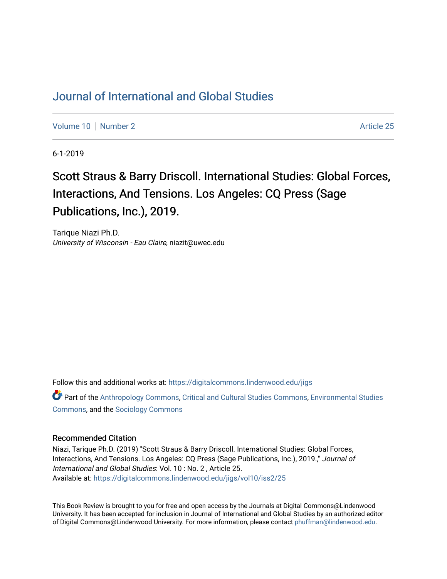## [Journal of International and Global Studies](https://digitalcommons.lindenwood.edu/jigs)

[Volume 10](https://digitalcommons.lindenwood.edu/jigs/vol10) [Number 2](https://digitalcommons.lindenwood.edu/jigs/vol10/iss2) Article 25

6-1-2019

## Scott Straus & Barry Driscoll. International Studies: Global Forces, Interactions, And Tensions. Los Angeles: CQ Press (Sage Publications, Inc.), 2019.

Tarique Niazi Ph.D. University of Wisconsin - Eau Claire, niazit@uwec.edu

Follow this and additional works at: [https://digitalcommons.lindenwood.edu/jigs](https://digitalcommons.lindenwood.edu/jigs?utm_source=digitalcommons.lindenwood.edu%2Fjigs%2Fvol10%2Fiss2%2F25&utm_medium=PDF&utm_campaign=PDFCoverPages) 

Part of the [Anthropology Commons](http://network.bepress.com/hgg/discipline/318?utm_source=digitalcommons.lindenwood.edu%2Fjigs%2Fvol10%2Fiss2%2F25&utm_medium=PDF&utm_campaign=PDFCoverPages), [Critical and Cultural Studies Commons](http://network.bepress.com/hgg/discipline/328?utm_source=digitalcommons.lindenwood.edu%2Fjigs%2Fvol10%2Fiss2%2F25&utm_medium=PDF&utm_campaign=PDFCoverPages), [Environmental Studies](http://network.bepress.com/hgg/discipline/1333?utm_source=digitalcommons.lindenwood.edu%2Fjigs%2Fvol10%2Fiss2%2F25&utm_medium=PDF&utm_campaign=PDFCoverPages)  [Commons](http://network.bepress.com/hgg/discipline/1333?utm_source=digitalcommons.lindenwood.edu%2Fjigs%2Fvol10%2Fiss2%2F25&utm_medium=PDF&utm_campaign=PDFCoverPages), and the [Sociology Commons](http://network.bepress.com/hgg/discipline/416?utm_source=digitalcommons.lindenwood.edu%2Fjigs%2Fvol10%2Fiss2%2F25&utm_medium=PDF&utm_campaign=PDFCoverPages)

## Recommended Citation

Niazi, Tarique Ph.D. (2019) "Scott Straus & Barry Driscoll. International Studies: Global Forces, Interactions, And Tensions. Los Angeles: CQ Press (Sage Publications, Inc.), 2019.," Journal of International and Global Studies: Vol. 10 : No. 2 , Article 25. Available at: [https://digitalcommons.lindenwood.edu/jigs/vol10/iss2/25](https://digitalcommons.lindenwood.edu/jigs/vol10/iss2/25?utm_source=digitalcommons.lindenwood.edu%2Fjigs%2Fvol10%2Fiss2%2F25&utm_medium=PDF&utm_campaign=PDFCoverPages) 

This Book Review is brought to you for free and open access by the Journals at Digital Commons@Lindenwood University. It has been accepted for inclusion in Journal of International and Global Studies by an authorized editor of Digital Commons@Lindenwood University. For more information, please contact [phuffman@lindenwood.edu](mailto:phuffman@lindenwood.edu).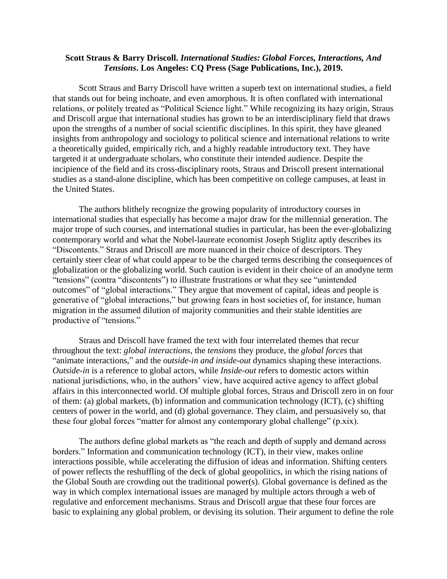## **Scott Straus & Barry Driscoll.** *International Studies: Global Forces, Interactions, And Tensions***. Los Angeles: CQ Press (Sage Publications, Inc.), 2019.**

Scott Straus and Barry Driscoll have written a superb text on international studies, a field that stands out for being inchoate, and even amorphous. It is often conflated with international relations, or politely treated as "Political Science light." While recognizing its hazy origin, Straus and Driscoll argue that international studies has grown to be an interdisciplinary field that draws upon the strengths of a number of social scientific disciplines. In this spirit, they have gleaned insights from anthropology and sociology to political science and international relations to write a theoretically guided, empirically rich, and a highly readable introductory text. They have targeted it at undergraduate scholars, who constitute their intended audience. Despite the incipience of the field and its cross-disciplinary roots, Straus and Driscoll present international studies as a stand-alone discipline, which has been competitive on college campuses, at least in the United States.

The authors blithely recognize the growing popularity of introductory courses in international studies that especially has become a major draw for the millennial generation. The major trope of such courses, and international studies in particular, has been the ever-globalizing contemporary world and what the Nobel-laureate economist Joseph Stiglitz aptly describes its "Discontents." Straus and Driscoll are more nuanced in their choice of descriptors. They certainly steer clear of what could appear to be the charged terms describing the consequences of globalization or the globalizing world. Such caution is evident in their choice of an anodyne term "tensions" (contra "discontents") to illustrate frustrations or what they see "unintended outcomes" of "global interactions." They argue that movement of capital, ideas and people is generative of "global interactions," but growing fears in host societies of, for instance, human migration in the assumed dilution of majority communities and their stable identities are productive of "tensions."

Straus and Driscoll have framed the text with four interrelated themes that recur throughout the text: *global interactions*, the *tensions* they produce, the *global forces* that "animate interactions," and the *outside-in and inside-out* dynamics shaping these interactions. *Outside-in* is a reference to global actors, while *Inside-out* refers to domestic actors within national jurisdictions, who, in the authors' view, have acquired active agency to affect global affairs in this interconnected world. Of multiple global forces, Straus and Driscoll zero in on four of them: (a) global markets, (b) information and communication technology (ICT), (c) shifting centers of power in the world, and (d) global governance. They claim, and persuasively so, that these four global forces "matter for almost any contemporary global challenge" (p.xix).

The authors define global markets as "the reach and depth of supply and demand across borders." Information and communication technology (ICT), in their view, makes online interactions possible, while accelerating the diffusion of ideas and information. Shifting centers of power reflects the reshuffling of the deck of global geopolitics, in which the rising nations of the Global South are crowding out the traditional power(s). Global governance is defined as the way in which complex international issues are managed by multiple actors through a web of regulative and enforcement mechanisms. Straus and Driscoll argue that these four forces are basic to explaining any global problem, or devising its solution. Their argument to define the role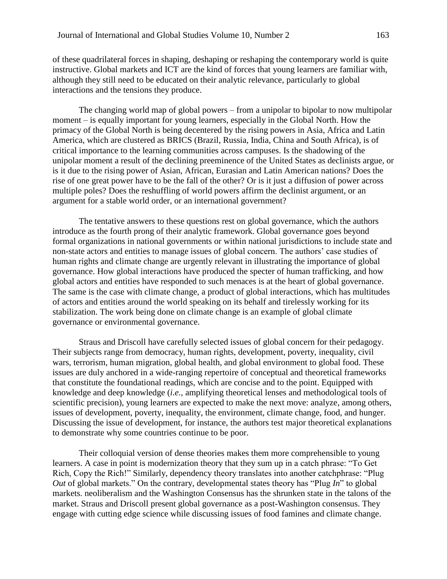of these quadrilateral forces in shaping, deshaping or reshaping the contemporary world is quite instructive. Global markets and ICT are the kind of forces that young learners are familiar with, although they still need to be educated on their analytic relevance, particularly to global interactions and the tensions they produce.

The changing world map of global powers – from a unipolar to bipolar to now multipolar moment – is equally important for young learners, especially in the Global North. How the primacy of the Global North is being decentered by the rising powers in Asia, Africa and Latin America, which are clustered as BRICS (Brazil, Russia, India, China and South Africa), is of critical importance to the learning communities across campuses. Is the shadowing of the unipolar moment a result of the declining preeminence of the United States as declinists argue, or is it due to the rising power of Asian, African, Eurasian and Latin American nations? Does the rise of one great power have to be the fall of the other? Or is it just a diffusion of power across multiple poles? Does the reshuffling of world powers affirm the declinist argument, or an argument for a stable world order, or an international government?

The tentative answers to these questions rest on global governance, which the authors introduce as the fourth prong of their analytic framework. Global governance goes beyond formal organizations in national governments or within national jurisdictions to include state and non-state actors and entities to manage issues of global concern. The authors' case studies of human rights and climate change are urgently relevant in illustrating the importance of global governance. How global interactions have produced the specter of human trafficking, and how global actors and entities have responded to such menaces is at the heart of global governance. The same is the case with climate change, a product of global interactions, which has multitudes of actors and entities around the world speaking on its behalf and tirelessly working for its stabilization. The work being done on climate change is an example of global climate governance or environmental governance.

Straus and Driscoll have carefully selected issues of global concern for their pedagogy. Their subjects range from democracy, human rights, development, poverty, inequality, civil wars, terrorism, human migration, global health, and global environment to global food. These issues are duly anchored in a wide-ranging repertoire of conceptual and theoretical frameworks that constitute the foundational readings, which are concise and to the point. Equipped with knowledge and deep knowledge (*i.e.,* amplifying theoretical lenses and methodological tools of scientific precision), young learners are expected to make the next move: analyze, among others, issues of development, poverty, inequality, the environment, climate change, food, and hunger. Discussing the issue of development, for instance, the authors test major theoretical explanations to demonstrate why some countries continue to be poor.

Their colloquial version of dense theories makes them more comprehensible to young learners. A case in point is modernization theory that they sum up in a catch phrase: "To Get Rich, Copy the Rich!" Similarly, dependency theory translates into another catchphrase: "Plug *Out* of global markets." On the contrary, developmental states theory has "Plug *In*" to global markets. neoliberalism and the Washington Consensus has the shrunken state in the talons of the market. Straus and Driscoll present global governance as a post-Washington consensus. They engage with cutting edge science while discussing issues of food famines and climate change.